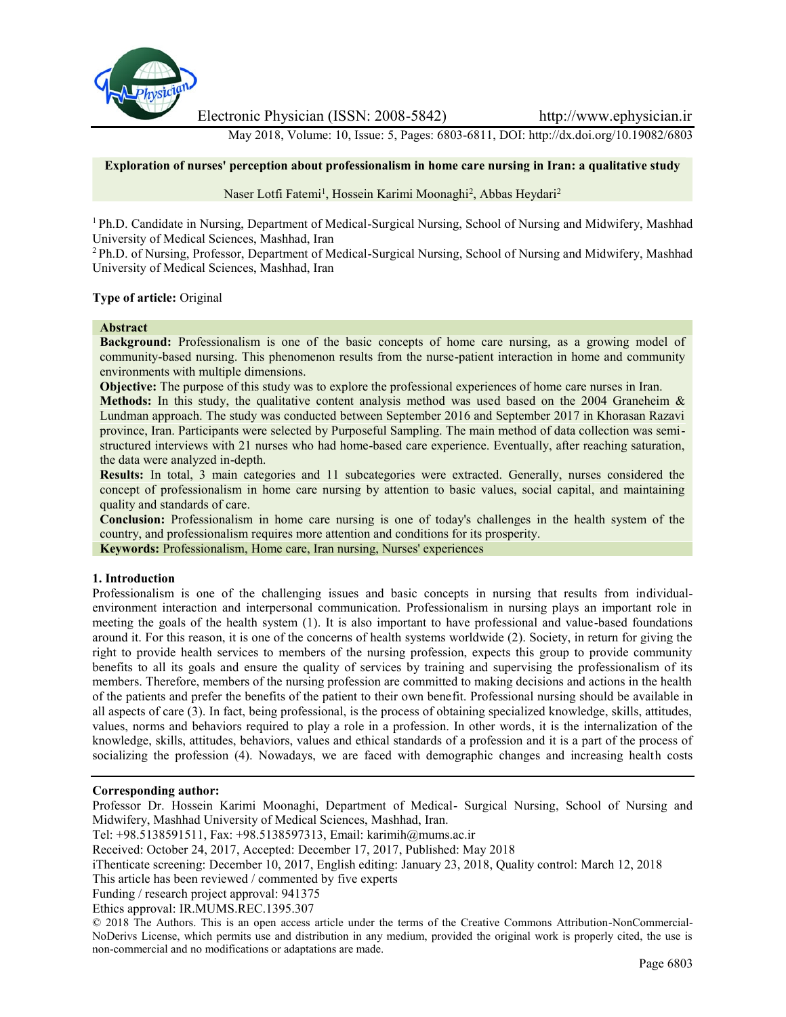

Electronic Physician (ISSN: 2008-5842) http://www.ephysician.ir

May 2018, Volume: 10, Issue: 5, Pages: 6803-6811, DOI: http://dx.doi.org/10.19082/6803

### **Exploration of nurses' perception about professionalism in home care nursing in Iran: a qualitative study**

Naser Lotfi Fatemi<sup>1</sup>, Hossein Karimi Moonaghi<sup>2</sup>, Abbas Heydari<sup>2</sup>

<sup>1</sup> Ph.D. Candidate in Nursing, Department of Medical-Surgical Nursing, School of Nursing and Midwifery, Mashhad University of Medical Sciences, Mashhad, Iran

<sup>2</sup> Ph.D. of Nursing, Professor, Department of Medical-Surgical Nursing, School of Nursing and Midwifery, Mashhad University of Medical Sciences, Mashhad, Iran

### **Type of article:** Original

#### **Abstract**

**Background:** Professionalism is one of the basic concepts of home care nursing, as a growing model of community-based nursing. This phenomenon results from the nurse-patient interaction in home and community environments with multiple dimensions.

**Objective:** The purpose of this study was to explore the professional experiences of home care nurses in Iran.

**Methods:** In this study, the qualitative content analysis method was used based on the 2004 Graneheim & Lundman approach. The study was conducted between September 2016 and September 2017 in Khorasan Razavi province, Iran. Participants were selected by Purposeful Sampling. The main method of data collection was semi structured interviews with 21 nurses who had home-based care experience. Eventually, after reaching saturation, the data were analyzed in-depth.

**Results:** In total, 3 main categories and 11 subcategories were extracted. Generally, nurses considered the concept of professionalism in home care nursing by attention to basic values, social capital, and maintaining quality and standards of care.

**Conclusion:** Professionalism in home care nursing is one of today's challenges in the health system of the country, and professionalism requires more attention and conditions for its prosperity.

**Keywords:** Professionalism, Home care, Iran nursing, Nurses' experiences

### **1. Introduction**

Professionalism is one of the challenging issues and basic concepts in nursing that results from individual environment interaction and interpersonal communication. Professionalism in nursing plays an important role in meeting the goals of the health system (1). It is also important to have professional and value-based foundations around it. For this reason, it is one of the concerns of health systems worldwide (2). Society, in return for giving the right to provide health services to members of the nursing profession, expects this group to provide community benefits to all its goals and ensure the quality of services by training and supervising the professionalism of its members. Therefore, members of the nursing profession are committed to making decisions and actions in the health of the patients and prefer the benefits of the patient to their own benefit. Professional nursing should be available in all aspects of care (3). In fact, being professional, is the process of obtaining specialized knowledge, skills, attitudes, values, norms and behaviors required to play a role in a profession. In other words, it is the internalization of the knowledge, skills, attitudes, behaviors, values and ethical standards of a profession and it is a part of the process of socializing the profession (4). Nowadays, we are faced with demographic changes and increasing health costs

### **Corresponding author:**

Professor Dr. Hossein Karimi Moonaghi, Department of Medical- Surgical Nursing, School of Nursing and Midwifery, Mashhad University of Medical Sciences, Mashhad, Iran.

Tel: +98.5138591511, Fax: +98.5138597313, Email: karimih@mums.ac.ir

Received: October 24, 2017, Accepted: December 17, 2017, Published: May 2018

iThenticate screening: December 10, 2017, English editing: January 23, 2018, Quality control: March 12, 2018

This article has been reviewed / commented by five experts

Funding / research project approval: 941375

Ethics approval: IR.MUMS.REC.1395.307

© 2018 The Authors. This is an open access article under the terms of the Creative Commons Attribution-NonCommercial- NoDerivs License, which permits use and distribution in any medium, provided the original work is properly cited, the use is non-commercial and no modifications or adaptations are made.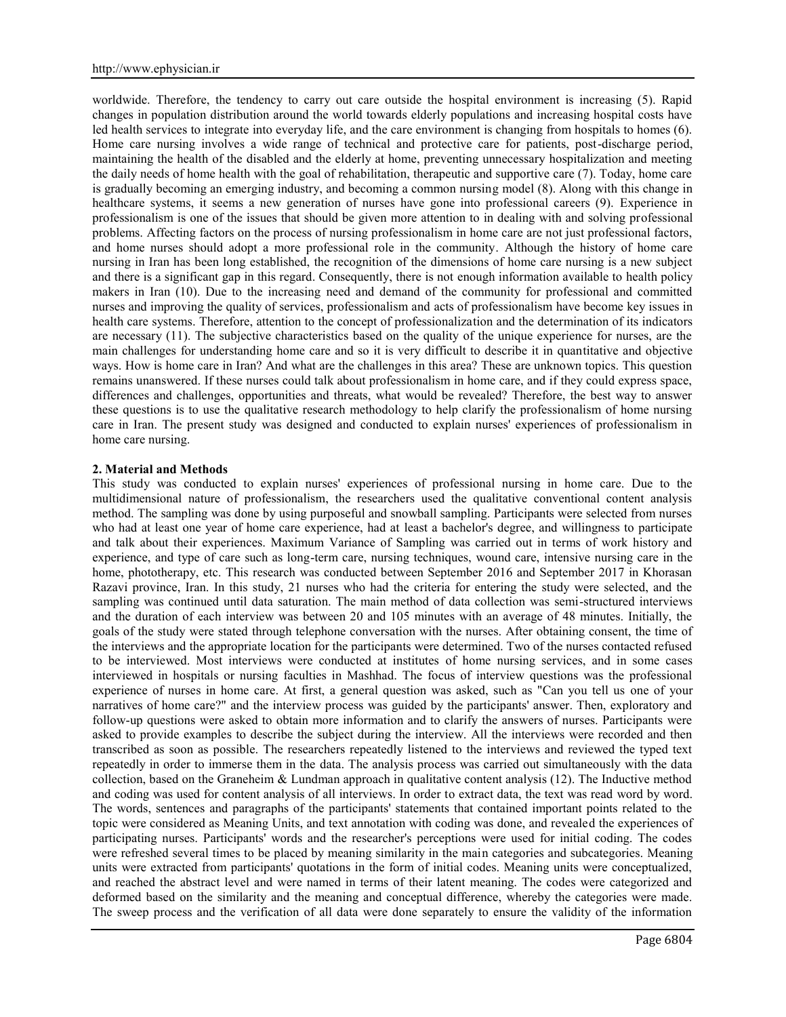worldwide. Therefore, the tendency to carry out care outside the hospital environment is increasing (5). Rapid changes in population distribution around the world towards elderly populations and increasing hospital costs have led health services to integrate into everyday life, and the care environment is changing from hospitals to homes (6). Home care nursing involves a wide range of technical and protective care for patients, post-discharge period, maintaining the health of the disabled and the elderly at home, preventing unnecessary hospitalization and meeting the daily needs of home health with the goal of rehabilitation, therapeutic and supportive care (7). Today, home care is gradually becoming an emerging industry, and becoming a common nursing model (8). Along with this change in healthcare systems, it seems a new generation of nurses have gone into professional careers (9). Experience in professionalism is one of the issues that should be given more attention to in dealing with and solving professional problems. Affecting factors on the process of nursing professionalism in home care are not just professional factors, and home nurses should adopt a more professional role in the community. Although the history of home care nursing in Iran has been long established, the recognition of the dimensions of home care nursing is a new subject and there is a significant gap in this regard. Consequently, there is not enough information available to health policy makers in Iran (10). Due to the increasing need and demand of the community for professional and committed nurses and improving the quality of services, professionalism and acts of professionalism have become key issues in health care systems. Therefore, attention to the concept of professionalization and the determination of its indicators are necessary (11). The subjective characteristics based on the quality of the unique experience for nurses, are the main challenges for understanding home care and so it is very difficult to describe it in quantitative and objective ways. How is home care in Iran? And what are the challenges in this area? These are unknown topics. This question remains unanswered. If these nurses could talk about professionalism in home care, and if they could express space, differences and challenges, opportunities and threats, what would be revealed? Therefore, the best way to answer these questions is to use the qualitative research methodology to help clarify the professionalism of home nursing care in Iran. The present study was designed and conducted to explain nurses' experiences of professionalism in home care nursing.

### **2. Material and Methods**

This study was conducted to explain nurses' experiences of professional nursing in home care. Due to the multidimensional nature of professionalism, the researchers used the qualitative conventional content analysis method. The sampling was done by using purposeful and snowball sampling. Participants were selected from nurses who had at least one year of home care experience, had at least a bachelor's degree, and willingness to participate and talk about their experiences. Maximum Variance of Sampling was carried out in terms of work history and experience, and type of care such as long-term care, nursing techniques, wound care, intensive nursing care in the home, phototherapy, etc. This research was conducted between September 2016 and September 2017 in Khorasan Razavi province, Iran. In this study, 21 nurses who had the criteria for entering the study were selected, and the sampling was continued until data saturation. The main method of data collection was semi-structured interviews and the duration of each interview was between 20 and 105 minutes with an average of 48 minutes. Initially, the goals of the study were stated through telephone conversation with the nurses. After obtaining consent, the time of the interviews and the appropriate location for the participants were determined. Two of the nurses contacted refused to be interviewed. Most interviews were conducted at institutes of home nursing services, and in some cases interviewed in hospitals or nursing faculties in Mashhad. The focus of interview questions was the professional experience of nurses in home care. At first, a general question was asked, such as "Can you tell us one of your narratives of home care?" and the interview process was guided by the participants' answer. Then, exploratory and follow-up questions were asked to obtain more information and to clarify the answers of nurses. Participants were asked to provide examples to describe the subject during the interview. All the interviews were recorded and then transcribed as soon as possible. The researchers repeatedly listened to the interviews and reviewed the typed text repeatedly in order to immerse them in the data. The analysis process was carried out simultaneously with the data collection, based on the Graneheim & Lundman approach in qualitative content analysis (12). The Inductive method and coding was used for content analysis of all interviews. In order to extract data, the text was read word by word. The words, sentences and paragraphs of the participants' statements that contained important points related to the topic were considered as Meaning Units, and text annotation with coding was done, and revealed the experiences of participating nurses. Participants' words and the researcher's perceptions were used for initial coding. The codes were refreshed several times to be placed by meaning similarity in the main categories and subcategories. Meaning units were extracted from participants' quotations in the form of initial codes. Meaning units were conceptualized, and reached the abstract level and were named in terms of their latent meaning. The codes were categorized and deformed based on the similarity and the meaning and conceptual difference, whereby the categories were made. The sweep process and the verification of all data were done separately to ensure the validity of the information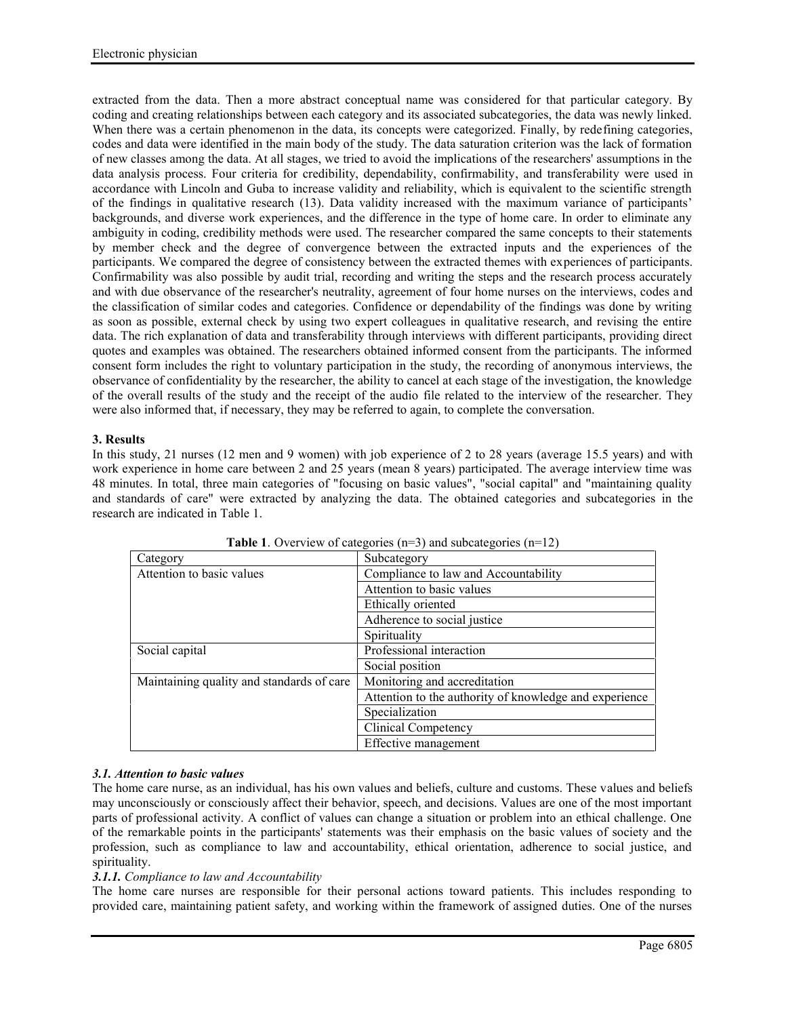extracted from the data. Then a more abstract conceptual name was considered for that particular category. By coding and creating relationships between each category and its associated subcategories, the data was newly linked. When there was a certain phenomenon in the data, its concepts were categorized. Finally, by redefining categories, codes and data were identified in the main body of the study. The data saturation criterion was the lack of formation of new classes among the data. At all stages, we tried to avoid the implications of the researchers' assumptions in the data analysis process. Four criteria for credibility, dependability, confirmability, and transferability were used in accordance with Lincoln and Guba to increase validity and reliability, which is equivalent to the scientific strength of the findings in qualitative research (13). Data validity increased with the maximum variance of participants' backgrounds, and diverse work experiences, and the difference in the type of home care. In order to eliminate any ambiguity in coding, credibility methods were used. The researcher compared the same concepts to their statements by member check and the degree of convergence between the extracted inputs and the experiences of the participants. We compared the degree of consistency between the extracted themes with experiences of participants. Confirmability was also possible by audit trial, recording and writing the steps and the research process accurately and with due observance of the researcher's neutrality, agreement of four home nurses on the interviews, codes and the classification of similar codes and categories. Confidence or dependability of the findings was done by writing as soon as possible, external check by using two expert colleagues in qualitative research, and revising the entire data. The rich explanation of data and transferability through interviews with different participants, providing direct quotes and examples was obtained. The researchers obtained informed consent from the participants. The informed consent form includes the right to voluntary participation in the study, the recording of anonymous interviews, the observance of confidentiality by the researcher, the ability to cancel at each stage of the investigation, the knowledge of the overall results of the study and the receipt of the audio file related to the interview of the researcher. They were also informed that, if necessary, they may be referred to again, to complete the conversation.

## **3. Results**

In this study, 21 nurses (12 men and 9 women) with job experience of 2 to 28 years (average 15.5 years) and with work experience in home care between 2 and 25 years (mean 8 years) participated. The average interview time was 48 minutes. In total, three main categories of "focusing on basic values", "social capital" and "maintaining quality and standards of care" were extracted by analyzing the data. The obtained categories and subcategories in the research are indicated in Table 1.

| $\frac{1}{2}$                             |                                                        |
|-------------------------------------------|--------------------------------------------------------|
| Category                                  | Subcategory                                            |
| Attention to basic values                 | Compliance to law and Accountability                   |
|                                           | Attention to basic values                              |
|                                           | Ethically oriented                                     |
|                                           | Adherence to social justice                            |
|                                           | Spirituality                                           |
| Social capital                            | Professional interaction                               |
|                                           | Social position                                        |
| Maintaining quality and standards of care | Monitoring and accreditation                           |
|                                           | Attention to the authority of knowledge and experience |
|                                           | Specialization                                         |
|                                           | <b>Clinical Competency</b>                             |
|                                           | Effective management                                   |

**Table 1**. Overview of categories (n=3) and subcategories (n=12)

# *3.1. Attention to basic values*

The home care nurse, as an individual, has his own values and beliefs, culture and customs. These values and beliefs may unconsciously or consciously affect their behavior, speech, and decisions. Values are one of the most important parts of professional activity. A conflict of values can change a situation or problem into an ethical challenge. One of the remarkable points in the participants' statements was their emphasis on the basic values of society and the profession, such as compliance to law and accountability, ethical orientation, adherence to social justice, and spirituality.

# *3.1.1. Compliance to law and Accountability*

The home care nurses are responsible for their personal actions toward patients. This includes responding to provided care, maintaining patient safety, and working within the framework of assigned duties. One of the nurses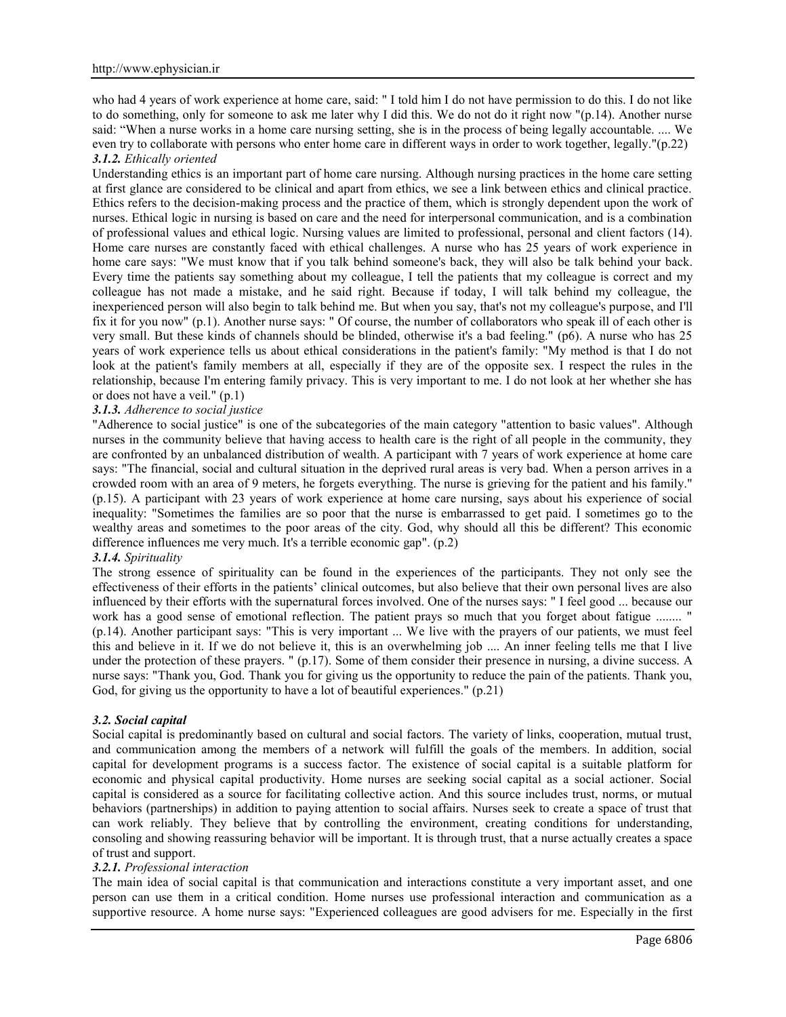who had 4 years of work experience at home care, said: " I told him I do not have permission to do this. I do not like to do something, only for someone to ask me later why I did this. We do not do it right now "(p.14). Another nurse said: "When a nurse works in a home care nursing setting, she is in the process of being legally accountable. .... We even try to collaborate with persons who enter home care in different ways in order to work together, legally."(p.22) *3.1.2. Ethically oriented*

Understanding ethics is an important part of home care nursing. Although nursing practices in the home care setting at first glance are considered to be clinical and apart from ethics, we see a link between ethics and clinical practice. Ethics refers to the decision-making process and the practice of them, which is strongly dependent upon the work of nurses. Ethical logic in nursing is based on care and the need for interpersonal communication, and is a combination of professional values and ethical logic. Nursing values are limited to professional, personal and client factors (14). Home care nurses are constantly faced with ethical challenges. A nurse who has 25 years of work experience in home care says: "We must know that if you talk behind someone's back, they will also be talk behind your back. Every time the patients say something about my colleague, I tell the patients that my colleague is correct and my colleague has not made a mistake, and he said right. Because if today, I will talk behind my colleague, the inexperienced person will also begin to talk behind me. But when you say, that's not my colleague's purpose, and I'll fix it for you now" (p.1). Another nurse says: " Of course, the number of collaborators who speak ill of each other is very small. But these kinds of channels should be blinded, otherwise it's a bad feeling." (p6). A nurse who has 25 years of work experience tells us about ethical considerations in the patient's family: "My method is that I do not look at the patient's family members at all, especially if they are of the opposite sex. I respect the rules in the relationship, because I'm entering family privacy. This is very important to me. I do not look at her whether she has or does not have a veil." (p.1)

## *3.1.3. Adherence to social justice*

"Adherence to social justice" is one of the subcategories of the main category "attention to basic values". Although nurses in the community believe that having access to health care is the right of all people in the community, they are confronted by an unbalanced distribution of wealth. A participant with 7 years of work experience at home care says: "The financial, social and cultural situation in the deprived rural areas is very bad. When a person arrives in a crowded room with an area of 9 meters, he forgets everything. The nurse is grieving for the patient and his family." (p.15). A participant with 23 years of work experience at home care nursing, says about his experience of social inequality: "Sometimes the families are so poor that the nurse is embarrassed to get paid. I sometimes go to the wealthy areas and sometimes to the poor areas of the city. God, why should all this be different? This economic difference influences me very much. It's a terrible economic gap". (p.2)

### *3.1.4. Spirituality*

The strong essence of spirituality can be found in the experiences of the participants. They not only see the effectiveness of their efforts in the patients' clinical outcomes, but also believe that their own personal lives are also influenced by their efforts with the supernatural forces involved. One of the nurses says: " I feel good ... because our work has a good sense of emotional reflection. The patient prays so much that you forget about fatigue ........" (p.14). Another participant says: "This is very important ... We live with the prayers of our patients, we must feel this and believe in it. If we do not believe it, this is an overwhelming job .... An inner feeling tells me that I live under the protection of these prayers. " (p.17). Some of them consider their presence in nursing, a divine success. A nurse says: "Thank you, God. Thank you for giving us the opportunity to reduce the pain of the patients. Thank you, God, for giving us the opportunity to have a lot of beautiful experiences." (p.21)

### *3.2. Social capital*

Social capital is predominantly based on cultural and social factors. The variety of links, cooperation, mutual trust, and communication among the members of a network will fulfill the goals of the members. In addition, social capital for development programs is a success factor. The existence of social capital is a suitable platform for economic and physical capital productivity. Home nurses are seeking social capital as a social actioner. Social capital is considered as a source for facilitating collective action. And this source includes trust, norms, or mutual behaviors (partnerships) in addition to paying attention to social affairs. Nurses seek to create a space of trust that can work reliably. They believe that by controlling the environment, creating conditions for understanding, consoling and showing reassuring behavior will be important. It is through trust, that a nurse actually creates a space of trust and support.

## *3.2.1. Professional interaction*

The main idea of social capital is that communication and interactions constitute a very important asset, and one person can use them in a critical condition. Home nurses use professional interaction and communication as a supportive resource. A home nurse says: "Experienced colleagues are good advisers for me. Especially in the first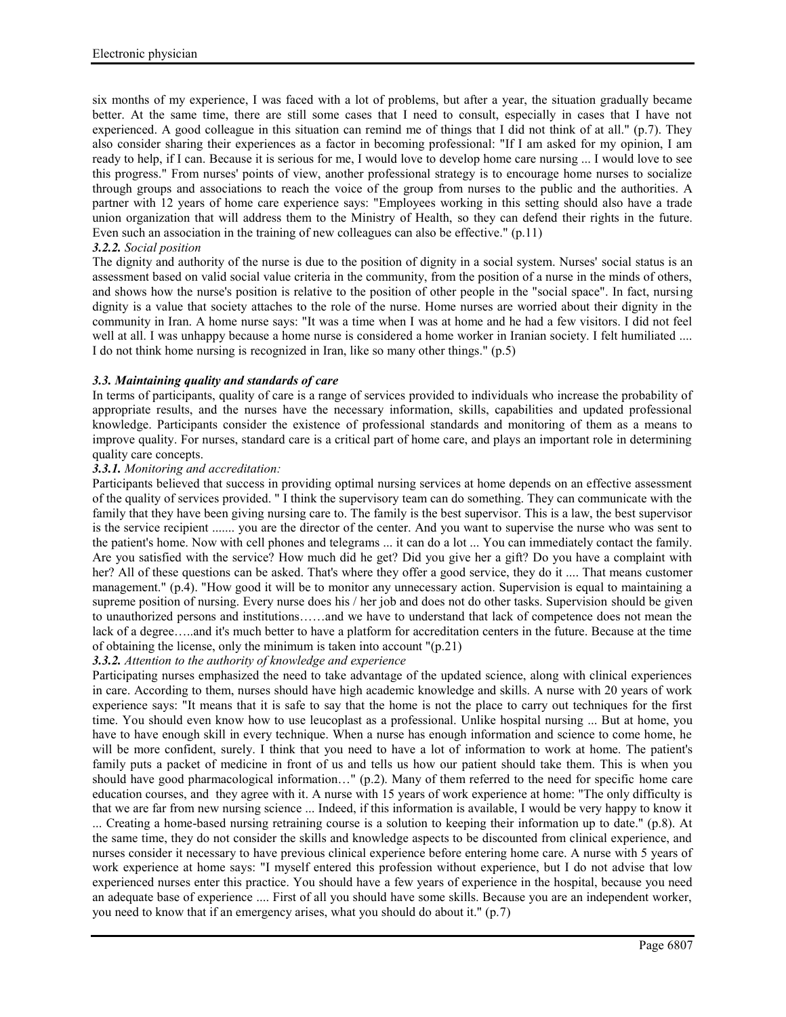six months of my experience, I was faced with a lot of problems, but after a year, the situation gradually became better. At the same time, there are still some cases that I need to consult, especially in cases that I have not experienced. A good colleague in this situation can remind me of things that I did not think of at all." (p.7). They also consider sharing their experiences as a factor in becoming professional: "If I am asked for my opinion, I am ready to help, if I can. Because it is serious for me, I would love to develop home care nursing ... I would love to see this progress." From nurses' points of view, another professional strategy is to encourage home nurses to socialize through groups and associations to reach the voice of the group from nurses to the public and the authorities. A partner with 12 years of home care experience says: "Employees working in this setting should also have a trade union organization that will address them to the Ministry of Health, so they can defend their rights in the future. Even such an association in the training of new colleagues can also be effective." (p.11)

# *3.2.2. Social position*

The dignity and authority of the nurse is due to the position of dignity in a social system. Nurses' social status is an assessment based on valid social value criteria in the community, from the position of a nurse in the minds of others, and shows how the nurse's position is relative to the position of other people in the "social space". In fact, nursing dignity is a value that society attaches to the role of the nurse. Home nurses are worried about their dignity in the community in Iran. A home nurse says: "It was a time when I was at home and he had a few visitors. I did not feel well at all. I was unhappy because a home nurse is considered a home worker in Iranian society. I felt humiliated .... I do not think home nursing is recognized in Iran, like so many other things." (p.5)

# *3.3. Maintaining quality and standards of care*

In terms of participants, quality of care is a range of services provided to individuals who increase the probability of appropriate results, and the nurses have the necessary information, skills, capabilities and updated professional knowledge. Participants consider the existence of professional standards and monitoring of them as a means to improve quality. For nurses, standard care is a critical part of home care, and plays an important role in determining quality care concepts.

## *3.3.1. Monitoring and accreditation:*

Participants believed that success in providing optimal nursing services at home depends on an effective assessment of the quality of services provided. " I think the supervisory team can do something. They can communicate with the family that they have been giving nursing care to. The family is the best supervisor. This is a law, the best supervisor is the service recipient ....... you are the director of the center. And you want to supervise the nurse who was sent to the patient's home. Now with cell phones and telegrams ... it can do a lot ... You can immediately contact the family. Are you satisfied with the service? How much did he get? Did you give her a gift? Do you have a complaint with her? All of these questions can be asked. That's where they offer a good service, they do it .... That means customer management." (p.4). "How good it will be to monitor any unnecessary action. Supervision is equal to maintaining a supreme position of nursing. Every nurse does his / her job and does not do other tasks. Supervision should be given to unauthorized persons and institutions……and we have to understand that lack of competence does not mean the lack of a degree…..and it's much better to have a platform for accreditation centers in the future. Because at the time of obtaining the license, only the minimum is taken into account "(p.21)

## *3.3.2. Attention to the authority of knowledge and experience*

Participating nurses emphasized the need to take advantage of the updated science, along with clinical experiences in care. According to them, nurses should have high academic knowledge and skills. A nurse with 20 years of work experience says: "It means that it is safe to say that the home is not the place to carry out techniques for the first time. You should even know how to use leucoplast as a professional. Unlike hospital nursing ... But at home, you have to have enough skill in every technique. When a nurse has enough information and science to come home, he will be more confident, surely. I think that you need to have a lot of information to work at home. The patient's family puts a packet of medicine in front of us and tells us how our patient should take them. This is when you should have good pharmacological information…" (p.2). Many of them referred to the need for specific home care education courses, and they agree with it. A nurse with 15 years of work experience at home: "The only difficulty is that we are far from new nursing science ... Indeed, if this information is available, I would be very happy to know it

... Creating a home-based nursing retraining course is a solution to keeping their information up to date." (p.8). At the same time, they do not consider the skills and knowledge aspects to be discounted from clinical experience, and nurses consider it necessary to have previous clinical experience before entering home care. A nurse with 5 years of work experience at home says: "I myself entered this profession without experience, but I do not advise that low experienced nurses enter this practice. You should have a few years of experience in the hospital, because you need an adequate base of experience .... First of all you should have some skills. Because you are an independent worker, you need to know that if an emergency arises, what you should do about it." (p.7)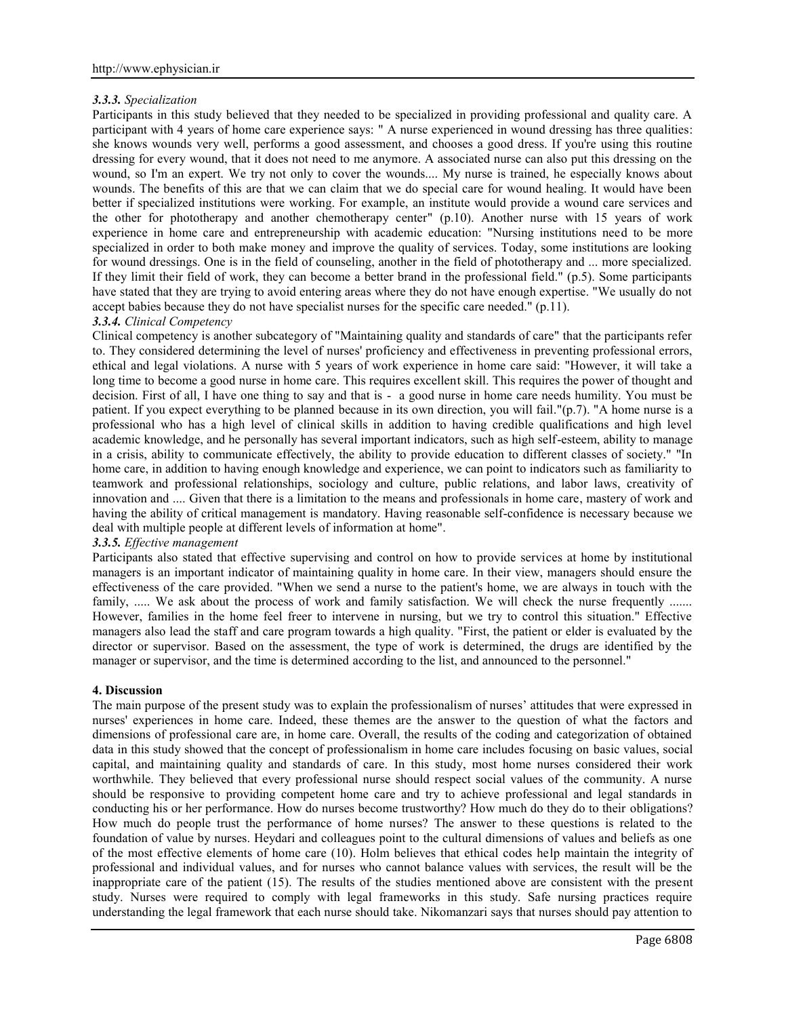## *3.3.3. Specialization*

Participants in this study believed that they needed to be specialized in providing professional and quality care. A participant with 4 years of home care experience says: " A nurse experienced in wound dressing has three qualities: she knows wounds very well, performs a good assessment, and chooses a good dress. If you're using this routine dressing for every wound, that it does not need to me anymore. A associated nurse can also put this dressing on the wound, so I'm an expert. We try not only to cover the wounds.... My nurse is trained, he especially knows about wounds. The benefits of this are that we can claim that we do special care for wound healing. It would have been better if specialized institutions were working. For example, an institute would provide a wound care services and the other for phototherapy and another chemotherapy center" (p.10). Another nurse with 15 years of work experience in home care and entrepreneurship with academic education: "Nursing institutions need to be more specialized in order to both make money and improve the quality of services. Today, some institutions are looking for wound dressings. One is in the field of counseling, another in the field of phototherapy and ... more specialized. If they limit their field of work, they can become a better brand in the professional field." (p.5). Some participants have stated that they are trying to avoid entering areas where they do not have enough expertise. "We usually do not accept babies because they do not have specialist nurses for the specific care needed." (p.11).

### *3.3.4. Clinical Competency*

Clinical competency is another subcategory of "Maintaining quality and standards of care" that the participants refer to. They considered determining the level of nurses' proficiency and effectiveness in preventing professional errors, ethical and legal violations. A nurse with 5 years of work experience in home care said: "However, it will take a long time to become a good nurse in home care. This requires excellent skill. This requires the power of thought and decision. First of all, I have one thing to say and that is - a good nurse in home care needs humility. You must be patient. If you expect everything to be planned because in its own direction, you will fail."(p.7). "A home nurse is a professional who has a high level of clinical skills in addition to having credible qualifications and high level academic knowledge, and he personally has several important indicators, such as high self-esteem, ability to manage in a crisis, ability to communicate effectively, the ability to provide education to different classes of society." "In home care, in addition to having enough knowledge and experience, we can point to indicators such as familiarity to teamwork and professional relationships, sociology and culture, public relations, and labor laws, creativity of innovation and .... Given that there is a limitation to the means and professionals in home care, mastery of work and having the ability of critical management is mandatory. Having reasonable self-confidence is necessary because we deal with multiple people at different levels of information at home".

## *3.3.5. Effective management*

Participants also stated that effective supervising and control on how to provide services at home by institutional managers is an important indicator of maintaining quality in home care. In their view, managers should ensure the effectiveness of the care provided. "When we send a nurse to the patient's home, we are always in touch with the family, ..... We ask about the process of work and family satisfaction. We will check the nurse frequently ....... However, families in the home feel freer to intervene in nursing, but we try to control this situation." Effective managers also lead the staff and care program towards a high quality. "First, the patient or elder is evaluated by the director or supervisor. Based on the assessment, the type of work is determined, the drugs are identified by the manager or supervisor, and the time is determined according to the list, and announced to the personnel."

### **4. Discussion**

The main purpose of the present study was to explain the professionalism of nurses' attitudes that were expressed in nurses' experiences in home care. Indeed, these themes are the answer to the question of what the factors and dimensions of professional care are, in home care. Overall, the results of the coding and categorization of obtained data in this study showed that the concept of professionalism in home care includes focusing on basic values, social capital, and maintaining quality and standards of care. In this study, most home nurses considered their work worthwhile. They believed that every professional nurse should respect social values of the community. A nurse should be responsive to providing competent home care and try to achieve professional and legal standards in conducting his or her performance. How do nurses become trustworthy? How much do they do to their obligations? How much do people trust the performance of home nurses? The answer to these questions is related to the foundation of value by nurses. Heydari and colleagues point to the cultural dimensions of values and beliefs as one of the most effective elements of home care (10). Holm believes that ethical codes help maintain the integrity of professional and individual values, and for nurses who cannot balance values with services, the result will be the inappropriate care of the patient (15). The results of the studies mentioned above are consistent with the present study. Nurses were required to comply with legal frameworks in this study. Safe nursing practices require understanding the legal framework that each nurse should take. Nikomanzari says that nurses should pay attention to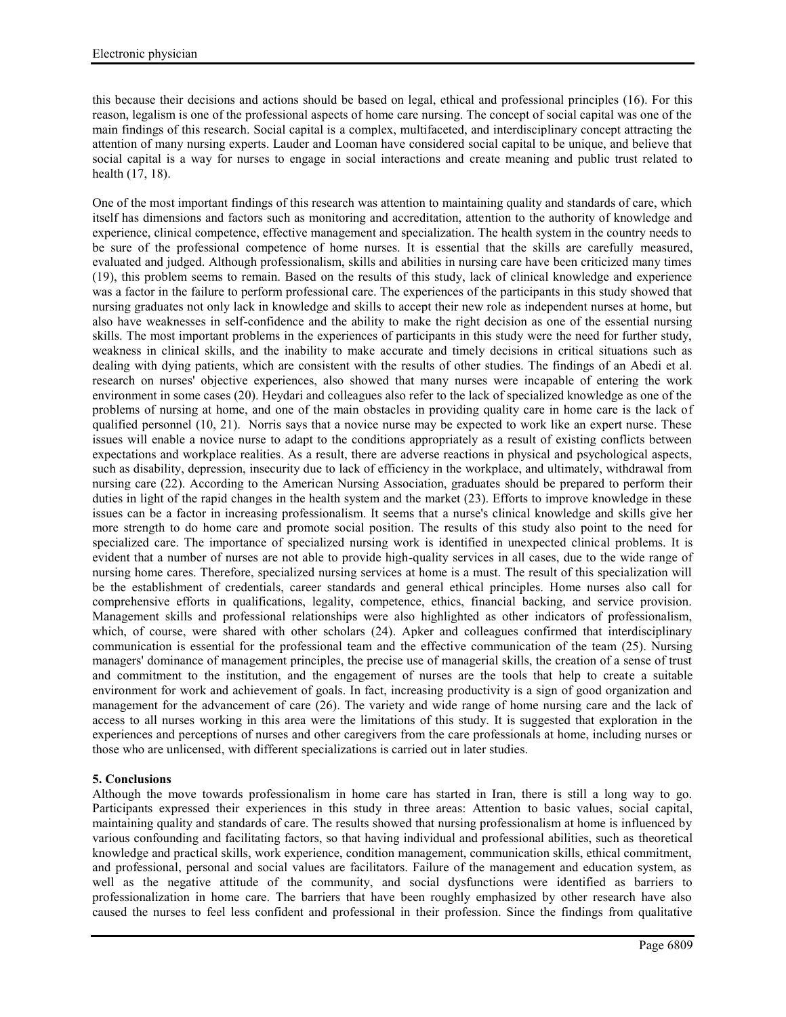this because their decisions and actions should be based on legal, ethical and professional principles (16). For this reason, legalism is one of the professional aspects of home care nursing. The concept of social capital was one of the main findings of this research. Social capital is a complex, multifaceted, and interdisciplinary concept attracting the attention of many nursing experts. Lauder and Looman have considered social capital to be unique, and believe that social capital is a way for nurses to engage in social interactions and create meaning and public trust related to health (17, 18).

One of the most important findings of this research was attention to maintaining quality and standards of care, which itself has dimensions and factors such as monitoring and accreditation, attention to the authority of knowledge and experience, clinical competence, effective management and specialization. The health system in the country needs to be sure of the professional competence of home nurses. It is essential that the skills are carefully measured, evaluated and judged. Although professionalism, skills and abilities in nursing care have been criticized many times (19), this problem seems to remain. Based on the results of this study, lack of clinical knowledge and experience was a factor in the failure to perform professional care. The experiences of the participants in this study showed that nursing graduates not only lack in knowledge and skills to accept their new role as independent nurses at home, but also have weaknesses in self-confidence and the ability to make the right decision as one of the essential nursing skills. The most important problems in the experiences of participants in this study were the need for further study, weakness in clinical skills, and the inability to make accurate and timely decisions in critical situations such as dealing with dying patients, which are consistent with the results of other studies. The findings of an Abedi et al. research on nurses' objective experiences, also showed that many nurses were incapable of entering the work environment in some cases (20). Heydari and colleagues also refer to the lack of specialized knowledge as one of the problems of nursing at home, and one of the main obstacles in providing quality care in home care is the lack of qualified personnel (10, 21). Norris says that a novice nurse may be expected to work like an expert nurse. These issues will enable a novice nurse to adapt to the conditions appropriately as a result of existing conflicts between expectations and workplace realities. As a result, there are adverse reactions in physical and psychological aspects, such as disability, depression, insecurity due to lack of efficiency in the workplace, and ultimately, withdrawal from nursing care (22). According to the American Nursing Association, graduates should be prepared to perform their duties in light of the rapid changes in the health system and the market (23). Efforts to improve knowledge in these issues can be a factor in increasing professionalism. It seems that a nurse's clinical knowledge and skills give her more strength to do home care and promote social position. The results of this study also point to the need for specialized care. The importance of specialized nursing work is identified in unexpected clinical problems. It is evident that a number of nurses are not able to provide high-quality services in all cases, due to the wide range of nursing home cares. Therefore, specialized nursing services at home is a must. The result of this specialization will be the establishment of credentials, career standards and general ethical principles. Home nurses also call for comprehensive efforts in qualifications, legality, competence, ethics, financial backing, and service provision. Management skills and professional relationships were also highlighted as other indicators of professionalism, which, of course, were shared with other scholars (24). Apker and colleagues confirmed that interdisciplinary communication is essential for the professional team and the effective communication of the team (25). Nursing managers' dominance of management principles, the precise use of managerial skills, the creation of a sense of trust and commitment to the institution, and the engagement of nurses are the tools that help to create a suitable environment for work and achievement of goals. In fact, increasing productivity is a sign of good organization and management for the advancement of care (26). The variety and wide range of home nursing care and the lack of access to all nurses working in this area were the limitations of this study. It is suggested that exploration in the experiences and perceptions of nurses and other caregivers from the care professionals at home, including nurses or those who are unlicensed, with different specializations is carried out in later studies.

## **5. Conclusions**

Although the move towards professionalism in home care has started in Iran, there is still a long way to go. Participants expressed their experiences in this study in three areas: Attention to basic values, social capital, maintaining quality and standards of care. The results showed that nursing professionalism at home is influenced by various confounding and facilitating factors, so that having individual and professional abilities, such as theoretical knowledge and practical skills, work experience, condition management, communication skills, ethical commitment, and professional, personal and social values are facilitators. Failure of the management and education system, as well as the negative attitude of the community, and social dysfunctions were identified as barriers to professionalization in home care. The barriers that have been roughly emphasized by other research have also caused the nurses to feel less confident and professional in their profession. Since the findings from qualitative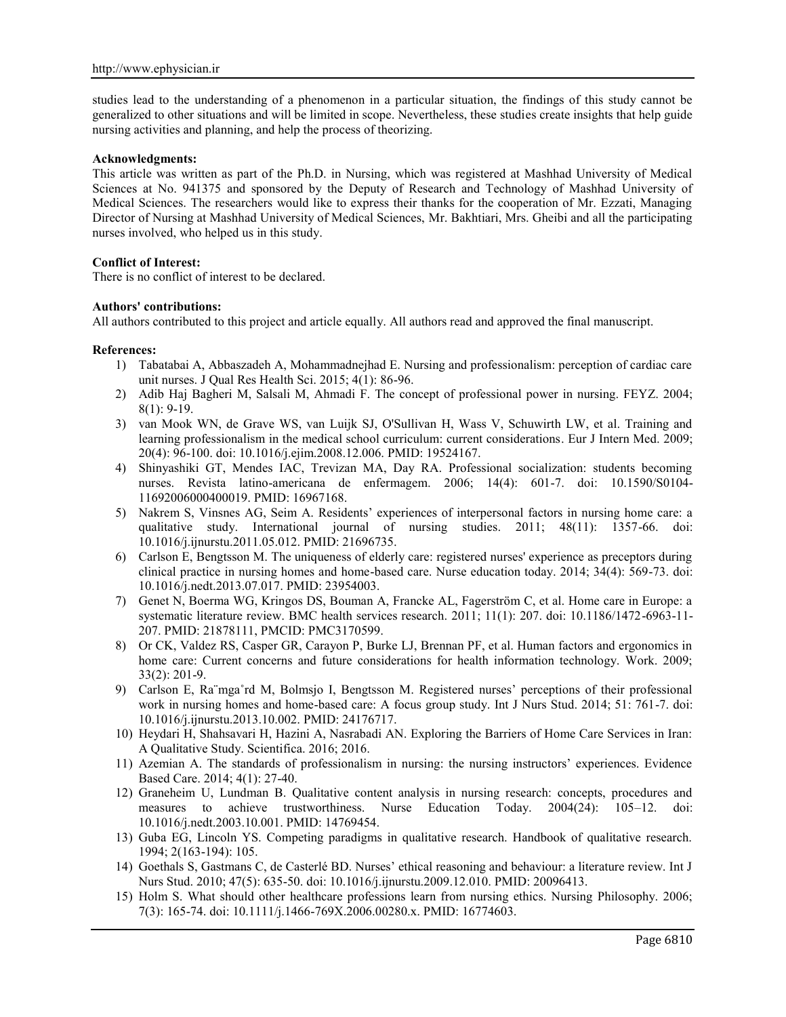studies lead to the understanding of a phenomenon in a particular situation, the findings of this study cannot be generalized to other situations and will be limited in scope. Nevertheless, these studies create insights that help guide nursing activities and planning, and help the process of theorizing.

### **Acknowledgments:**

This article was written as part of the Ph.D. in Nursing, which was registered at Mashhad University of Medical Sciences at No. 941375 and sponsored by the Deputy of Research and Technology of Mashhad University of Medical Sciences. The researchers would like to express their thanks for the cooperation of Mr. Ezzati, Managing Director of Nursing at Mashhad University of Medical Sciences, Mr. Bakhtiari, Mrs. Gheibi and all the participating nurses involved, who helped us in this study.

## **Conflict of Interest:**

There is no conflict of interest to be declared.

### **Authors' contributions:**

All authors contributed to this project and article equally. All authors read and approved the final manuscript.

### **References:**

- 1) Tabatabai A, Abbaszadeh A, Mohammadnejhad E. Nursing and professionalism: perception of cardiac care unit nurses. J Qual Res Health Sci. 2015; 4(1): 86-96.
- 2) Adib Haj Bagheri M, Salsali M, Ahmadi F. The concept of professional power in nursing. FEYZ. 2004; 8(1): 9-19.
- 3) van Mook WN, de Grave WS, van Luijk SJ, O'Sullivan H, Wass V, Schuwirth LW, et al. Training and learning professionalism in the medical school curriculum: current considerations. Eur J Intern Med. 2009; 20(4): 96-100. doi: 10.1016/j.ejim.2008.12.006. PMID: 19524167.
- 4) Shinyashiki GT, Mendes IAC, Trevizan MA, Day RA. Professional socialization: students becoming nurses. Revista latino-americana de enfermagem. 2006; 14(4): 601-7. doi: 10.1590/S0104- 11692006000400019. PMID: 16967168.
- 5) Nakrem S, Vinsnes AG, Seim A. Residents' experiences of interpersonal factors in nursing home care: a qualitative study. International journal of nursing studies. 2011; 48(11): 1357-66. doi: 10.1016/j.ijnurstu.2011.05.012. PMID: 21696735.
- 6) Carlson E, Bengtsson M. The uniqueness of elderly care: registered nurses' experience as preceptors during clinical practice in nursing homes and home-based care. Nurse education today. 2014; 34(4): 569-73. doi: 10.1016/j.nedt.2013.07.017. PMID: 23954003.
- 7) Genet N, Boerma WG, Kringos DS, Bouman A, Francke AL, Fagerström C, et al. Home care in Europe: a systematic literature review. BMC health services research. 2011; 11(1): 207. doi: 10.1186/1472-6963-11- 207. PMID: 21878111, PMCID: PMC3170599.
- 8) Or CK, Valdez RS, Casper GR, Carayon P, Burke LJ, Brennan PF, et al. Human factors and ergonomics in home care: Current concerns and future considerations for health information technology. Work. 2009; 33(2): 201-9.
- 9) Carlson E, Ra¨mga˚rd M, Bolmsjo I, Bengtsson M. Registered nurses' perceptions of their professional work in nursing homes and home-based care: A focus group study. Int J Nurs Stud. 2014; 51: 761-7. doi: 10.1016/j.ijnurstu.2013.10.002. PMID: 24176717.
- 10) Heydari H, Shahsavari H, Hazini A, Nasrabadi AN. Exploring the Barriers of Home Care Services in Iran: A Qualitative Study. Scientifica. 2016; 2016.
- 11) Azemian A. The standards of professionalism in nursing: the nursing instructors' experiences. Evidence Based Care. 2014; 4(1): 27-40.
- 12) Graneheim U, Lundman B. Qualitative content analysis in nursing research: concepts, procedures and measures to achieve trustworthiness. Nurse Education Today. 2004(24): 105–12. doi: 10.1016/j.nedt.2003.10.001. PMID: 14769454.
- 13) Guba EG, Lincoln YS. Competing paradigms in qualitative research. Handbook of qualitative research. 1994; 2(163-194): 105.
- 14) Goethals S, Gastmans C, de Casterlé BD. Nurses' ethical reasoning and behaviour: a literature review. Int J Nurs Stud. 2010; 47(5): 635-50. doi: 10.1016/j.ijnurstu.2009.12.010. PMID: 20096413.
- 15) Holm S. What should other healthcare professions learn from nursing ethics. Nursing Philosophy. 2006; 7(3): 165-74. doi: 10.1111/j.1466-769X.2006.00280.x. PMID: 16774603.